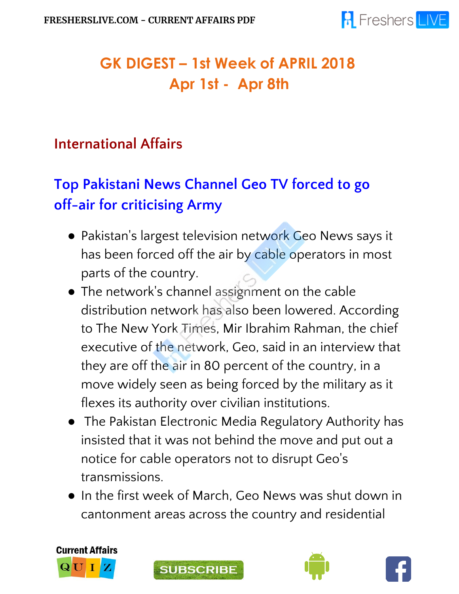

## **GK DIGEST – 1st Week of APRIL 2018 Apr 1st - Apr 8th**

#### **International Affairs**

# **Top Pakistani News Channel Geo TV forced to go off-air for criticising Army**

- Pakistan's largest television network Geo News says it has been forced off the air by cable operators in most parts of the country.
- The network's channel assignment on the cable distribution network has also been lowered. According to The New York Times, Mir Ibrahim Rahman, the chief executive of the network, Geo, said in an interview that they are off the air in 80 percent of the country, in a move widely seen as being forced by the military as it flexes its authority over civilian institutions.
- The Pakistan Electronic Media Regulatory Authority has insisted that it was not behind the move and put out a notice for cable operators not to disrupt Geo's transmissions.
- In the first week of March, Geo News was shut down in cantonment areas across the country and residential







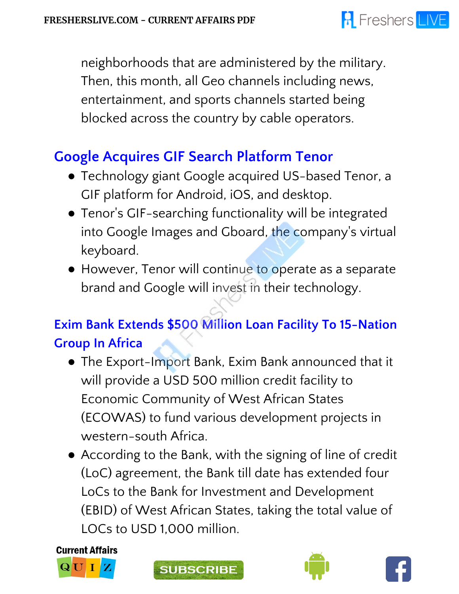

neighborhoods that are administered by the military. Then, this month, all Geo channels including news, entertainment, and sports channels started being blocked across the country by cable operators.

#### **Google Acquires GIF Search Platform Tenor**

- Technology giant Google acquired US-based Tenor, a GIF platform for Android, iOS, and desktop.
- Tenor's GIF-searching functionality will be integrated into Google Images and Gboard, the company's virtual keyboard.
- However, Tenor will continue to operate as a separate brand and Google will invest in their technology.

#### **Exim Bank Extends \$500 Million Loan Facility To 15-Nation Group In Africa**

- The Export-Import Bank, Exim Bank announced that it will provide a USD 500 million credit facility to Economic Community of West African States (ECOWAS) to fund various development projects in western-south Africa.
- According to the Bank, with the signing of line of credit (LoC) agreement, the Bank till date has extended four LoCs to the Bank for Investment and Development (EBID) of West African States, taking the total value of LOCs to USD 1,000 million.







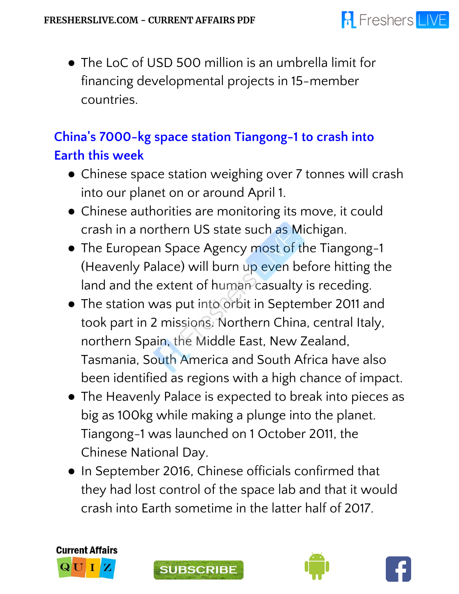• The LoC of USD 500 million is an umbrella limit for financing developmental projects in 15-member countries.

#### **China's 7000-kg space station Tiangong-1 to crash into Earth this week**

- Chinese space station weighing over 7 tonnes will crash into our planet on or around April 1.
- Chinese authorities are monitoring its move, it could crash in a northern US state such as Michigan.
- The European Space Agency most of the Tiangong-1 (Heavenly Palace) will burn up even before hitting the land and the extent of human casualty is receding.
- The station was put into orbit in September 2011 and took part in 2 missions. Northern China, central Italy, northern Spain, the Middle East, New Zealand, Tasmania, South America and South Africa have also been identified as regions with a high chance of impact.
- The Heavenly Palace is expected to break into pieces as big as 100kg while making a plunge into the planet. Tiangong-1 was launched on 1 October 2011, the Chinese National Day.
- In September 2016, Chinese officials confirmed that they had lost control of the space lab and that it would crash into Earth sometime in the latter half of 2017.







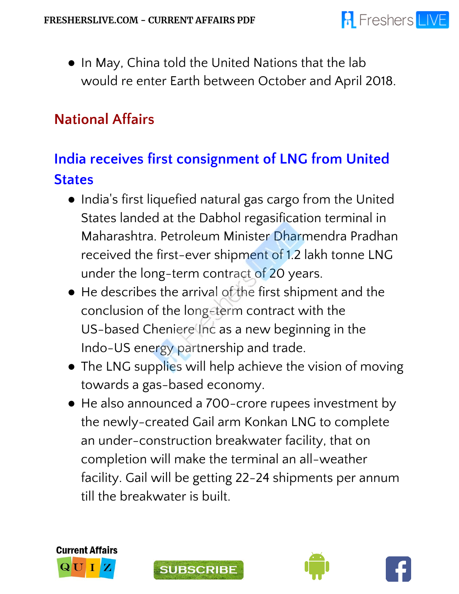• In May, China told the United Nations that the lab would re enter Earth between October and April 2018.

#### **National Affairs**

## **India receives first consignment of LNG from United States**

- India's first liquefied natural gas cargo from the United States landed at the Dabhol regasification terminal in Maharashtra. Petroleum Minister Dharmendra Pradhan received the first-ever shipment of 1.2 lakh tonne LNG under the long-term contract of 20 years.
- He describes the arrival of the first shipment and the conclusion of the long-term contract with the US-based Cheniere Inc as a new beginning in the Indo-US energy partnership and trade.
- The LNG supplies will help achieve the vision of moving towards a gas-based economy.
- He also announced a 700-crore rupees investment by the newly-created Gail arm Konkan LNG to complete an under-construction breakwater facility, that on completion will make the terminal an all-weather facility. Gail will be getting 22-24 shipments per annum till the breakwater is built.







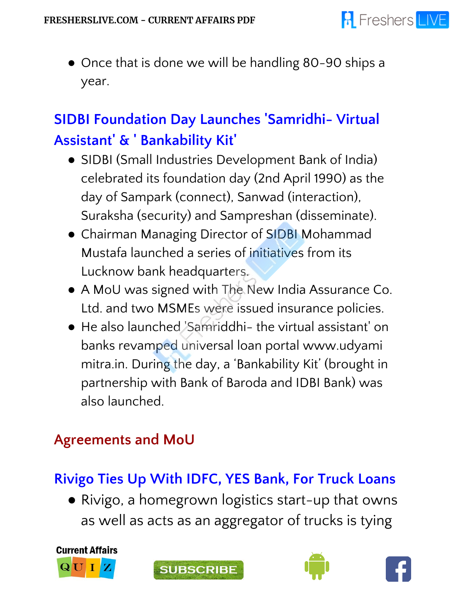

● Once that is done we will be handling 80-90 ships a year.

## **SIDBI Foundation Day Launches 'Samridhi- Virtual Assistant' & ' Bankability Kit'**

- SIDBI (Small Industries Development Bank of India) celebrated its foundation day (2nd April 1990) as the day of Sampark (connect), Sanwad (interaction), Suraksha (security) and Sampreshan (disseminate).
- Chairman Managing Director of SIDBI Mohammad Mustafa launched a series of initiatives from its Lucknow bank headquarters.
- A MoU was signed with The New India Assurance Co. Ltd. and two MSMEs were issued insurance policies.
- He also launched 'Samriddhi- the virtual assistant' on banks revamped universal loan portal www.udyami mitra.in. During the day, a 'Bankability Kit' (brought in partnership with Bank of Baroda and IDBI Bank) was also launched.

#### **Agreements and MoU**

## **Rivigo Ties Up With IDFC, YES Bank, For Truck Loans**

● Rivigo, a homegrown logistics start-up that owns as well as acts as an aggregator of trucks is tying







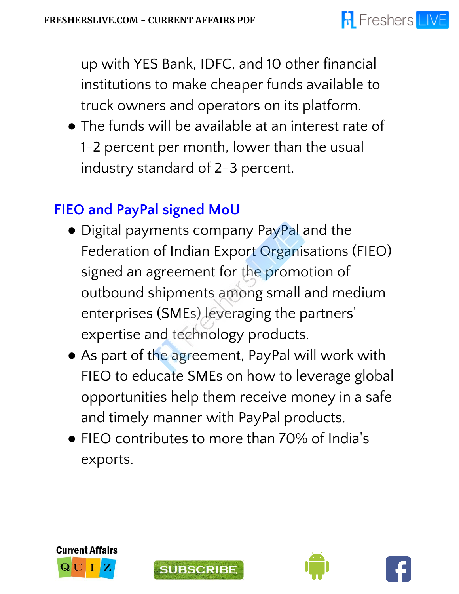

up with YES Bank, IDFC, and 10 other financial institutions to make cheaper funds available to truck owners and operators on its platform.

● The funds will be available at an interest rate of 1-2 percent per month, lower than the usual industry standard of 2-3 percent.

#### **FIEO and PayPal signed MoU**

- Digital payments company PayPal and the Federation of Indian Export Organisations (FIEO) signed an agreement for the promotion of outbound shipments among small and medium enterprises (SMEs) leveraging the partners 'expertise and technology products.
- As part of the agreement, PayPal will work with FIEO to educate SMEs on how to leverage global opportunities help them receive money in a safe and timely manner with PayPal products.
- FIEO contributes to more than 70% of India ' s exports.







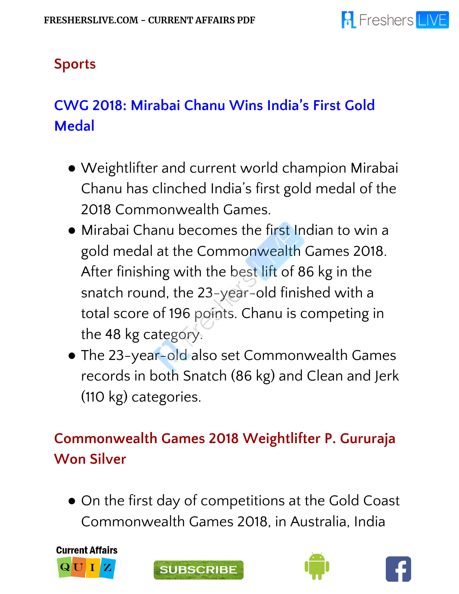## **Sports**

# **CWG 2018: Mirabai Chanu Wins India's First Gold Medal**

- Weightlifter and current world champion Mirabai Chanu has clinched India's first gold medal of the 2018 Commonwealth Games.
- Mirabai Chanu becomes the first Indian to win a gold medal at the Commonwealth Games 2018. After finishing with the best lift of 86 kg in the snatch round, the 23-year-old finished with a total score of 196 points. Chanu is competing in the 48 kg category.
- The 23-year-old also set Commonwealth Games records in both Snatch (86 kg) and Clean and Jerk (110 kg) categories.

## **Commonwealth Games 2018 Weightlifter P. Gururaja Won Silver**

● On the first day of competitions at the Gold Coast Commonwealth Games 2018, in Australia, India







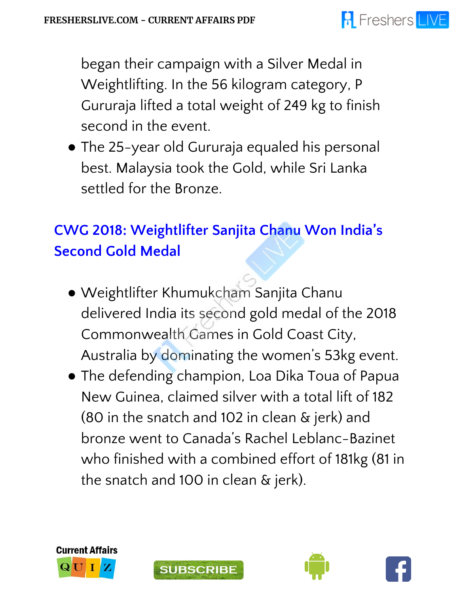#### **A** Freshers LIVE

began their campaign with a Silver Medal in Weightlifting. In the 56 kilogram category, P Gururaja lifted a total weight of 249 kg to finish second in the event.

● The 25-year old Gururaja equaled his personal best. Malaysia took the Gold, while Sri Lanka settled for the Bronze.

## **CWG 2018: Weightlifter Sanjita Chanu Won India's Second Gold Medal**

- Weightlifter Khumukcham Sanjita Chanu delivered India its second gold medal of the 2018 Commonwealth Games in Gold Coast City, Australia by dominating the women's 53kg event.
- The defending champion, Loa Dika Toua of Papua New Guinea, claimed silver with a total lift of 182 (80 in the snatch and 102 in clean & jerk) and bronze went to Canada's Rachel Leblanc-Bazinet who finished with a combined effort of 181kg (81 in the snatch and 100 in clean & jerk).







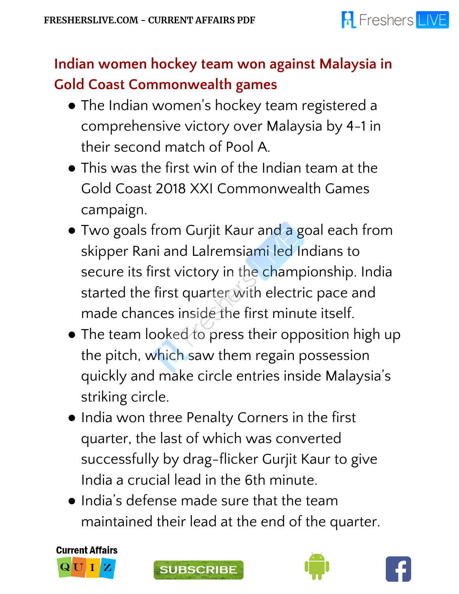

## **Indian women hockey team won against Malaysia in Gold Coast Commonwealth games**

- The Indian women ' s hockey team registered a comprehensive victory over Malaysia by 4-1 in their second match of Pool A.
- $\bullet$  This was the first win of the Indian team at the Gold Coast 2018 XXI Commonwealth Games campaign.
- Two goals from Gurjit Kaur and a goal each from skipper Rani and Lalremsiami led Indians to secure its first victory in the championship. India started the first quarter with electric pace and made chances inside the first minute itself.
- The team looked to press their opposition high up the pitch, which saw them regain possession quickly and make circle entries inside Malaysia's striking circle.
- India won three Penalty Corners in the first quarter, the last of which was converted successfully by drag-flicker Gurjit Kaur to give India a crucial lead in the 6th minute.
- India's defense made sure that the team maintained their lead at the end of the quarter.







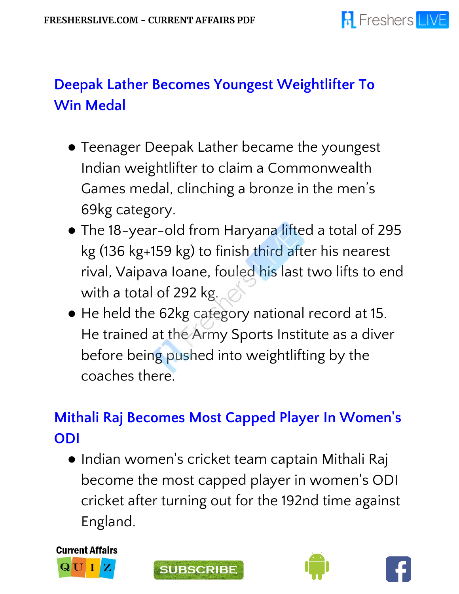## **Deepak Lather Becomes Youngest Weightlifter To Win Medal**

- Teenager Deepak Lather became the youngest Indian weightlifter to claim a Commonwealth Games medal, clinching a bronze in the men's 69kg category.
- The 18-year-old from Haryana lifted a total of 295 kg (136 kg+159 kg) to finish third after his nearest rival, Vaipava Ioane, fouled his last two lifts to end with a total of 292 kg.
- He held the 62kg category national record at 15. He trained at the Army Sports Institute as a diver before being pushed into weightlifting by the coaches there.

#### **Mithali Raj Becomes Most Capped Player In Women ' s ODI**

● Indian women ' s cricket team captain Mithali Raj become the most capped player in women ' s ODI cricket after turning out for the 192nd time against England.







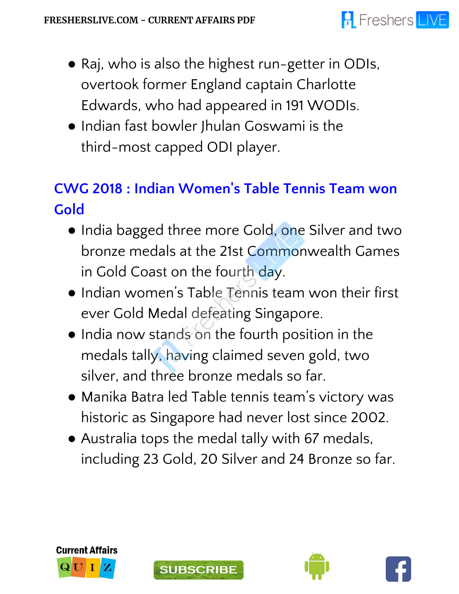#### **A** Freshers LIVE

- Raj, who is also the highest run-getter in ODIs, overtook former England captain Charlotte Edwards, who had appeared in 191 WODIs.
- Indian fast bowler Jhulan Goswami is the third-most capped ODI player.

#### **CWG 2018 : Indian Women ' s Table Tennis Team won Gold**

- India bagged three more Gold, one Silver and two bronze medals at the 21st Commonwealth Games in Gold Coast on the fourth day.
- Indian women's Table Tennis team won their first ever Gold Medal defeating Singapore.
- India now stands on the fourth position in the medals tally, having claimed seven gold, two silver, and three bronze medals so far.
- Manika Batra led Table tennis team's victory was historic as Singapore had never lost since 2002.
- Australia tops the medal tally with 67 medals, including 23 Gold, 20 Silver and 24 Bronze so far.







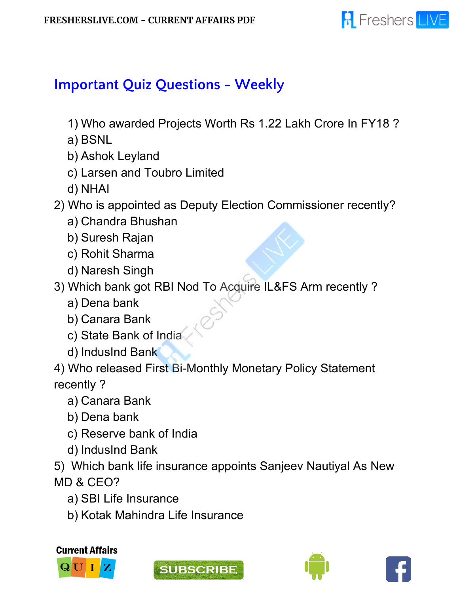

#### **Important Quiz Questions - Weekly**

- 1) Who awarded Projects Worth Rs 1.22 Lakh Crore In FY18 ?
- a) BSNL
- b) Ashok Leyland
- c) Larsen and Toubro Limited
- d) NHAI
- 2) Who is appointed as Deputy Election Commissioner recently?
	- a) Chandra Bhushan
	- b) Suresh Rajan
	- c) Rohit Sharma
	- d) Naresh Singh
- 3) Which bank got RBI Nod To Acquire IL&FS Arm recently ?
	- a) Dena bank
	- b) Canara Bank
	- c) State Bank of India
	- d) IndusInd Bank

4) Who released First Bi-Monthly Monetary Policy Statement recently ?

- a) Canara Bank
- b) Dena bank
- c) Reserve bank of India
- d) IndusInd Bank

5) Which bank life insurance appoints Sanjeev Nautiyal As New MD & CEO?

- a) SBI Life Insurance
- b) Kotak Mahindra Life Insurance







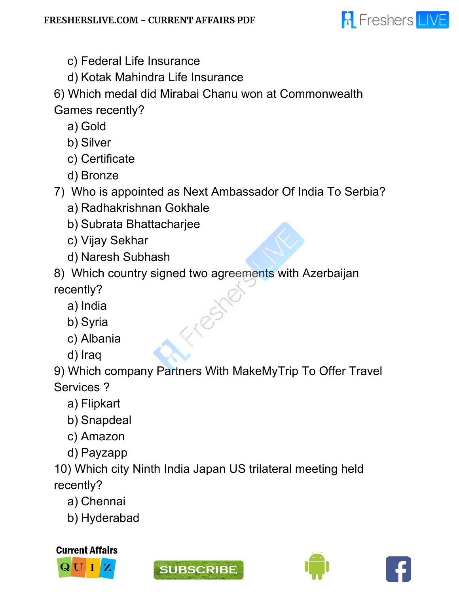

- c) Federal Life Insurance
- d) Kotak Mahindra Life Insurance

6) Which medal did Mirabai Chanu won at Commonwealth Games recently?

- a) Gold
- b) Silver
- c) Certificate
- d) Bronze

7) Who is appointed as Next Ambassador Of India To Serbia?

- a) Radhakrishnan Gokhale
- b) Subrata Bhattacharjee
- c) Vijay Sekhar
- d) Naresh Subhash

8) Which country signed two agreements with Azerbaijan recently?

- a) India
- b) Syria
- c) Albania
- d) Iraq

9) Which company Partners With MakeMyTrip To Offer Travel Services ?

- a) Flipkart
- b) Snapdeal
- c) Amazon
- d) Payzapp

10) Which city Ninth India Japan US trilateral meeting held recently?

- a) Chennai
- b) Hyderabad







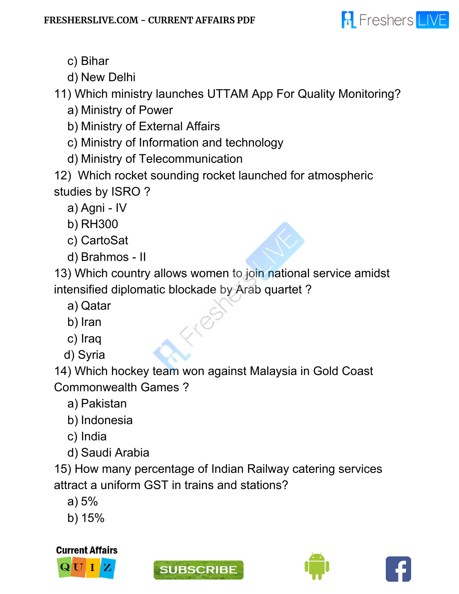

- c) Bihar
- d) New Delhi

11) Which ministry launches UTTAM App For Quality Monitoring?

- a) Ministry of Power
- b) Ministry of External Affairs
- c) Ministry of Information and technology
- d) Ministry of Telecommunication
- 12) Which rocket sounding rocket launched for atmospheric studies by ISRO ?
	- a) Agni IV
	- b) RH300
	- c) CartoSat
	- d) Brahmos II

13) Which country allows women to join national service amidst intensified diplomatic blockade by Arab quartet ?

- a) Qatar
- b) Iran
- c) Iraq
- d) Syria

14) Which hockey team won against Malaysia in Gold Coast Commonwealth Games ?

- a) Pakistan
- b) Indonesia
- c) India
- d) Saudi Arabia

15) How many percentage of Indian Railway catering services attract a uniform GST in trains and stations?

- a) 5%
- b) 15%

**Current Affairs**